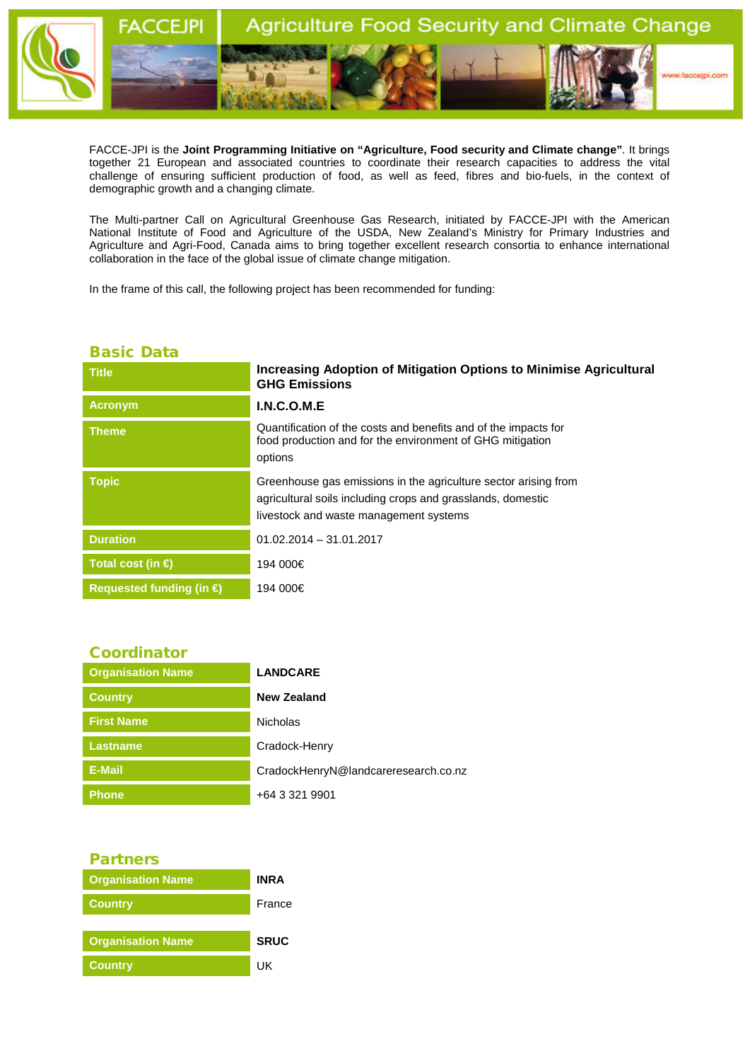

FACCE-JPI is the **Joint Programming Initiative on "Agriculture, Food security and Climate change"**. It brings together 21 European and associated countries to coordinate their research capacities to address the vital challenge of ensuring sufficient production of food, as well as feed, fibres and bio-fuels, in the context of demographic growth and a changing climate.

The Multi-partner Call on Agricultural Greenhouse Gas Research, initiated by FACCE-JPI with the American National Institute of Food and Agriculture of the USDA, New Zealand's Ministry for Primary Industries and Agriculture and Agri-Food, Canada aims to bring together excellent research consortia to enhance international collaboration in the face of the global issue of climate change mitigation.

In the frame of this call, the following project has been recommended for funding:

## Basic Data

| <b>Title</b>                      | <b>Increasing Adoption of Mitigation Options to Minimise Agricultural</b><br><b>GHG Emissions</b>                                                                        |
|-----------------------------------|--------------------------------------------------------------------------------------------------------------------------------------------------------------------------|
| <b>Acronym</b>                    | I.N.C.O.M.E                                                                                                                                                              |
| <b>Theme</b>                      | Quantification of the costs and benefits and of the impacts for<br>food production and for the environment of GHG mitigation<br>options                                  |
| <b>Topic</b>                      | Greenhouse gas emissions in the agriculture sector arising from<br>agricultural soils including crops and grasslands, domestic<br>livestock and waste management systems |
| <b>Duration</b>                   | $01.02.2014 - 31.01.2017$                                                                                                                                                |
| Total cost (in €                  | 194 000€                                                                                                                                                                 |
| Requested funding (in $\bigoplus$ | 194 000€                                                                                                                                                                 |

| <b>Coordinator</b>       |                                      |
|--------------------------|--------------------------------------|
| <b>Organisation Name</b> | <b>LANDCARE</b>                      |
| <b>Country</b>           | New Zealand                          |
| <b>First Name</b>        | <b>Nicholas</b>                      |
| <b>Lastname</b>          | Cradock-Henry                        |
| E-Mail                   | CradockHenryN@landcareresearch.co.nz |
| <b>Phone</b>             | +64 3 321 9901                       |

## Partners

| <b>Organisation Name</b> | INR A       |
|--------------------------|-------------|
| <b>Country</b>           | France      |
|                          |             |
| <b>Organisation Name</b> | <b>SRUC</b> |
| <b>Country</b>           | ПK          |